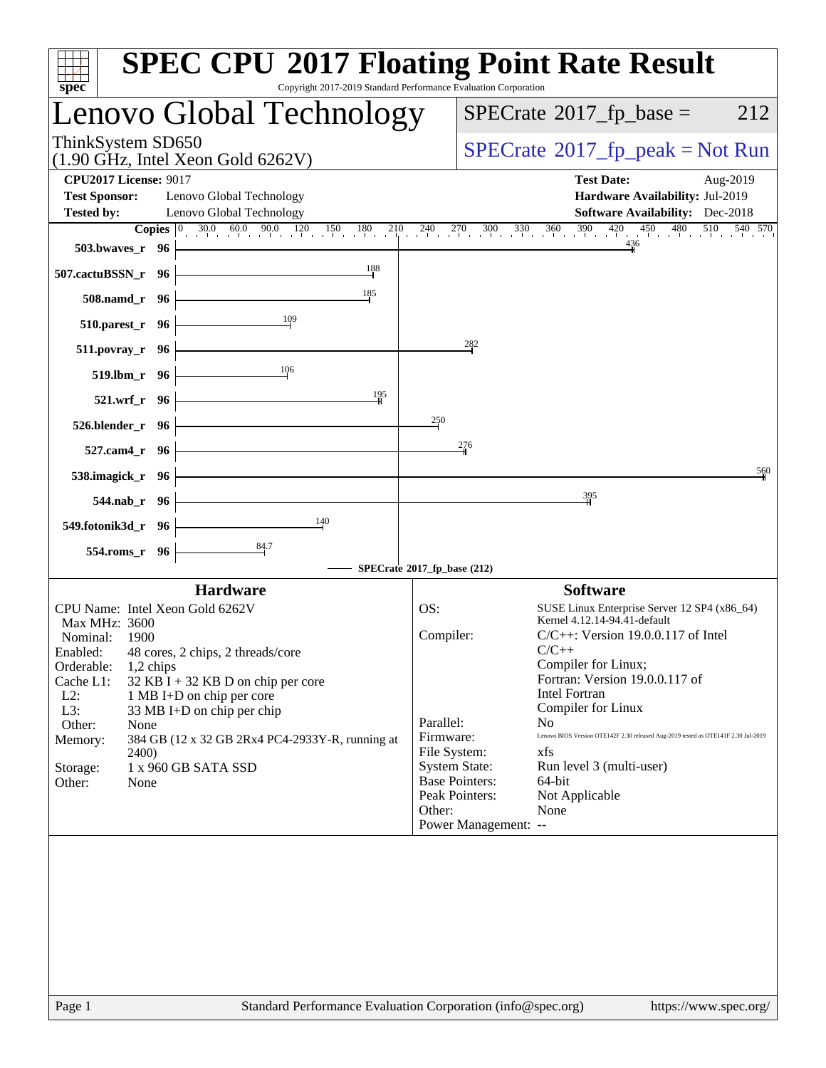| spec <sup>®</sup>                                                                | <b>SPEC CPU®2017 Floating Point Rate Result</b><br>Copyright 2017-2019 Standard Performance Evaluation Corporation                                                   |
|----------------------------------------------------------------------------------|----------------------------------------------------------------------------------------------------------------------------------------------------------------------|
| Lenovo Global Technology                                                         | $SPECrate^{\circ}2017$ _fp_base =<br>212                                                                                                                             |
| ThinkSystem SD650<br>$(1.90 \text{ GHz}, \text{Intel Xeon Gold } 6262 \text{V})$ | $SPECrate^{\circ}2017rfp peak = Not Run$                                                                                                                             |
| <b>CPU2017 License: 9017</b>                                                     | <b>Test Date:</b><br>Aug-2019                                                                                                                                        |
| <b>Test Sponsor:</b><br>Lenovo Global Technology                                 | Hardware Availability: Jul-2019                                                                                                                                      |
| <b>Tested by:</b><br>Lenovo Global Technology                                    | <b>Software Availability:</b> Dec-2018                                                                                                                               |
|                                                                                  | <b>Copies</b> $\begin{bmatrix} 0 & 30.0 & 60.0 & 90.0 & 120 & 150 & 180 & 210 & 240 & 270 & 300 & 330 & 360 & 390 & 420 & 450 & 480 & 510 & 540 & 570 \end{bmatrix}$ |
| 503.bwayes_r 96                                                                  |                                                                                                                                                                      |
| 188<br>507.cactuBSSN_r 96                                                        |                                                                                                                                                                      |
| 185<br>508.namd_r 96                                                             |                                                                                                                                                                      |
| 109<br>510.parest_r 96                                                           |                                                                                                                                                                      |
| $511. povray_r$ 96                                                               | $^{282}$                                                                                                                                                             |
| 106<br>519.lbm_r 96                                                              |                                                                                                                                                                      |
| 195<br>521.wrf_r 96                                                              |                                                                                                                                                                      |
| 526.blender_r 96                                                                 | 250                                                                                                                                                                  |
| 527.cam4_r 96                                                                    | 276                                                                                                                                                                  |
| 538.imagick_r 96                                                                 | 560                                                                                                                                                                  |
| 544.nab_r 96                                                                     | 395                                                                                                                                                                  |
| 140<br>549.fotonik3d_r 96                                                        |                                                                                                                                                                      |
| 554.roms_r 96                                                                    |                                                                                                                                                                      |
|                                                                                  | SPECrate®2017_fp_base (212)                                                                                                                                          |
| <b>Hardware</b>                                                                  | <b>Software</b>                                                                                                                                                      |
| CPU Name: Intel Xeon Gold 6262V                                                  | SUSE Linux Enterprise Server 12 SP4 (x86_64)<br>OS:                                                                                                                  |
| Max MHz: 3600                                                                    | Kernel 4.12.14-94.41-default                                                                                                                                         |
| Nominal:<br>- 1900                                                               | Compiler:<br>$C/C++$ : Version 19.0.0.117 of Intel                                                                                                                   |
| Enabled: 48 cores, 2 chips, 2 threads/core                                       | $C/C++$                                                                                                                                                              |
| Orderable:<br>$1,2$ chips                                                        | Compiler for Linux;                                                                                                                                                  |
| Cache L1:<br>$32$ KB I + 32 KB D on chip per core                                | Fortran: Version 19.0.0.117 of                                                                                                                                       |
| $L2$ :<br>1 MB I+D on chip per core                                              | Intel Fortran                                                                                                                                                        |
| L3:<br>33 MB I+D on chip per chip                                                | Compiler for Linux<br>Parallel:<br>N <sub>0</sub>                                                                                                                    |
| Other:<br>None                                                                   | Lenovo BIOS Version OTE142F 2.30 released Aug-2019 tested as OTE141F 2.30 Jul-2019<br>Firmware:                                                                      |
| Memory:<br>384 GB (12 x 32 GB 2Rx4 PC4-2933Y-R, running at<br>2400)              | File System:<br>xfs                                                                                                                                                  |
| 1 x 960 GB SATA SSD<br>Storage:                                                  | <b>System State:</b><br>Run level 3 (multi-user)                                                                                                                     |
| Other:<br>None                                                                   | <b>Base Pointers:</b><br>64-bit                                                                                                                                      |
|                                                                                  | Peak Pointers:<br>Not Applicable                                                                                                                                     |
|                                                                                  | Other:<br>None                                                                                                                                                       |
|                                                                                  | Power Management: --                                                                                                                                                 |
|                                                                                  |                                                                                                                                                                      |
|                                                                                  |                                                                                                                                                                      |
|                                                                                  |                                                                                                                                                                      |
|                                                                                  |                                                                                                                                                                      |
|                                                                                  |                                                                                                                                                                      |
|                                                                                  |                                                                                                                                                                      |
|                                                                                  |                                                                                                                                                                      |
|                                                                                  |                                                                                                                                                                      |
|                                                                                  |                                                                                                                                                                      |
| Page 1                                                                           | Standard Performance Evaluation Corporation (info@spec.org)<br>https://www.spec.org/                                                                                 |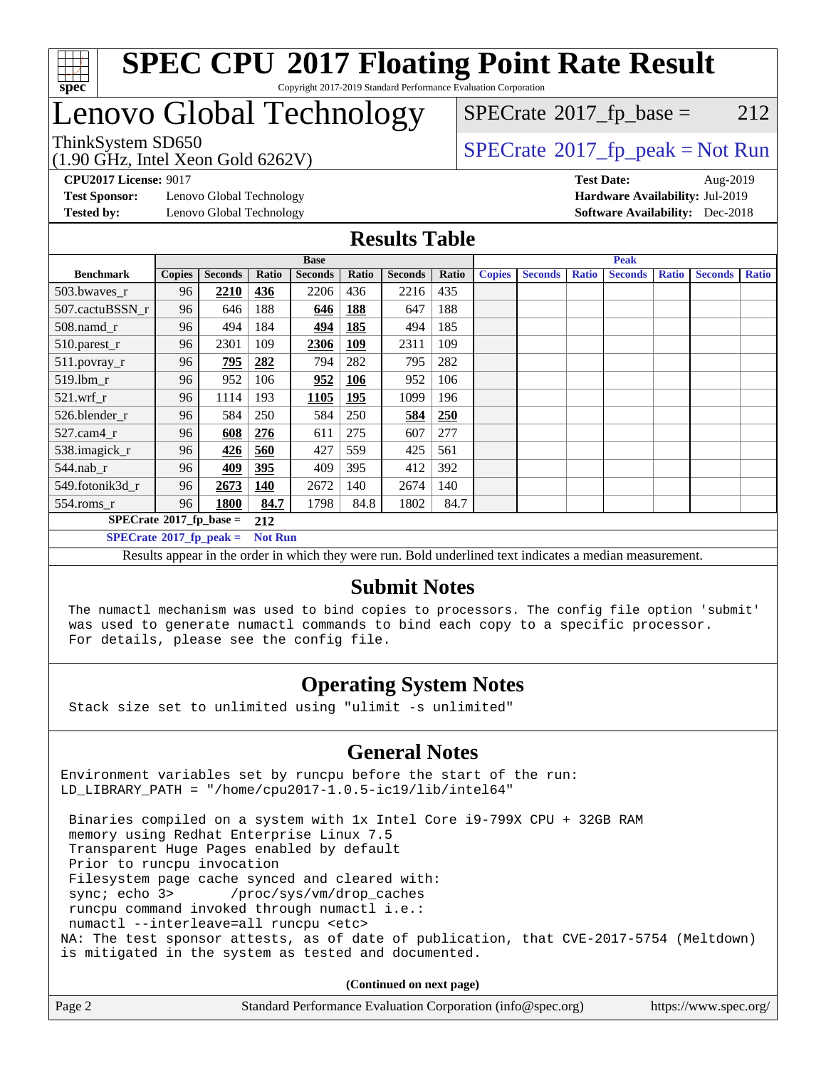

## Lenovo Global Technology

(1.90 GHz, Intel Xeon Gold 6262V)

 $SPECTate@2017_fp\_base = 212$ 

### ThinkSystem SD650<br>(1.00 GHz, Intel Year Gald 6262V) [SPECrate](http://www.spec.org/auto/cpu2017/Docs/result-fields.html#SPECrate2017fppeak)®[2017\\_fp\\_peak = N](http://www.spec.org/auto/cpu2017/Docs/result-fields.html#SPECrate2017fppeak)ot Run

**[Test Sponsor:](http://www.spec.org/auto/cpu2017/Docs/result-fields.html#TestSponsor)** Lenovo Global Technology **[Hardware Availability:](http://www.spec.org/auto/cpu2017/Docs/result-fields.html#HardwareAvailability)** Jul-2019 **[Tested by:](http://www.spec.org/auto/cpu2017/Docs/result-fields.html#Testedby)** Lenovo Global Technology **[Software Availability:](http://www.spec.org/auto/cpu2017/Docs/result-fields.html#SoftwareAvailability)** Dec-2018

**[CPU2017 License:](http://www.spec.org/auto/cpu2017/Docs/result-fields.html#CPU2017License)** 9017 **[Test Date:](http://www.spec.org/auto/cpu2017/Docs/result-fields.html#TestDate)** Aug-2019

#### **[Results Table](http://www.spec.org/auto/cpu2017/Docs/result-fields.html#ResultsTable)**

|                                   | <b>Base</b>   |                |                |                | <b>Peak</b> |                |       |               |                |              |                |              |                |              |
|-----------------------------------|---------------|----------------|----------------|----------------|-------------|----------------|-------|---------------|----------------|--------------|----------------|--------------|----------------|--------------|
| <b>Benchmark</b>                  | <b>Copies</b> | <b>Seconds</b> | Ratio          | <b>Seconds</b> | Ratio       | <b>Seconds</b> | Ratio | <b>Copies</b> | <b>Seconds</b> | <b>Ratio</b> | <b>Seconds</b> | <b>Ratio</b> | <b>Seconds</b> | <b>Ratio</b> |
| 503.bwayes r                      | 96            | <b>2210</b>    | 436            | 2206           | 436         | 2216           | 435   |               |                |              |                |              |                |              |
| 507.cactuBSSN r                   | 96            | 646            | 188            | 646            | 188         | 647            | 188   |               |                |              |                |              |                |              |
| $508$ .namd $r$                   | 96            | 494            | 184            | 494            | 185         | 494            | 185   |               |                |              |                |              |                |              |
| 510.parest_r                      | 96            | 2301           | 109            | 2306           | <b>109</b>  | 2311           | 109   |               |                |              |                |              |                |              |
| 511.povray_r                      | 96            | <u>795</u>     | 282            | 794            | 282         | 795            | 282   |               |                |              |                |              |                |              |
| $519$ .lbm $r$                    | 96            | 952            | 106            | 952            | <u>106</u>  | 952            | 106   |               |                |              |                |              |                |              |
| $521$ .wrf r                      | 96            | 1114           | 193            | 1105           | <b>195</b>  | 1099           | 196   |               |                |              |                |              |                |              |
| 526.blender r                     | 96            | 584            | 250            | 584            | 250         | 584            | 250   |               |                |              |                |              |                |              |
| $527.cam4_r$                      | 96            | 608            | 276            | 611            | 275         | 607            | 277   |               |                |              |                |              |                |              |
| 538.imagick_r                     | 96            | 426            | 560            | 427            | 559         | 425            | 561   |               |                |              |                |              |                |              |
| $544$ .nab r                      | 96            | 409            | 395            | 409            | 395         | 412            | 392   |               |                |              |                |              |                |              |
| 549.fotonik3d r                   | 96            | 2673           | 140            | 2672           | 140         | 2674           | 140   |               |                |              |                |              |                |              |
| $554$ .roms_r                     | 96            | 1800           | 84.7           | 1798           | 84.8        | 1802           | 84.7  |               |                |              |                |              |                |              |
| $SPECrate^{\circ}2017$ _fp_base = |               |                | 212            |                |             |                |       |               |                |              |                |              |                |              |
| $SPECrate^*2017_fp_peak =$        |               |                | <b>Not Run</b> |                |             |                |       |               |                |              |                |              |                |              |

Results appear in the [order in which they were run.](http://www.spec.org/auto/cpu2017/Docs/result-fields.html#RunOrder) Bold underlined text [indicates a median measurement.](http://www.spec.org/auto/cpu2017/Docs/result-fields.html#Median)

#### **[Submit Notes](http://www.spec.org/auto/cpu2017/Docs/result-fields.html#SubmitNotes)**

 The numactl mechanism was used to bind copies to processors. The config file option 'submit' was used to generate numactl commands to bind each copy to a specific processor. For details, please see the config file.

#### **[Operating System Notes](http://www.spec.org/auto/cpu2017/Docs/result-fields.html#OperatingSystemNotes)**

Stack size set to unlimited using "ulimit -s unlimited"

#### **[General Notes](http://www.spec.org/auto/cpu2017/Docs/result-fields.html#GeneralNotes)**

Environment variables set by runcpu before the start of the run: LD\_LIBRARY\_PATH = "/home/cpu2017-1.0.5-ic19/lib/intel64"

 Binaries compiled on a system with 1x Intel Core i9-799X CPU + 32GB RAM memory using Redhat Enterprise Linux 7.5 Transparent Huge Pages enabled by default Prior to runcpu invocation Filesystem page cache synced and cleared with: sync; echo 3> /proc/sys/vm/drop\_caches runcpu command invoked through numactl i.e.: numactl --interleave=all runcpu <etc> NA: The test sponsor attests, as of date of publication, that CVE-2017-5754 (Meltdown) is mitigated in the system as tested and documented.

**(Continued on next page)**

| Page 2 | Standard Performance Evaluation Corporation (info@spec.org) | https://www.spec.org/ |
|--------|-------------------------------------------------------------|-----------------------|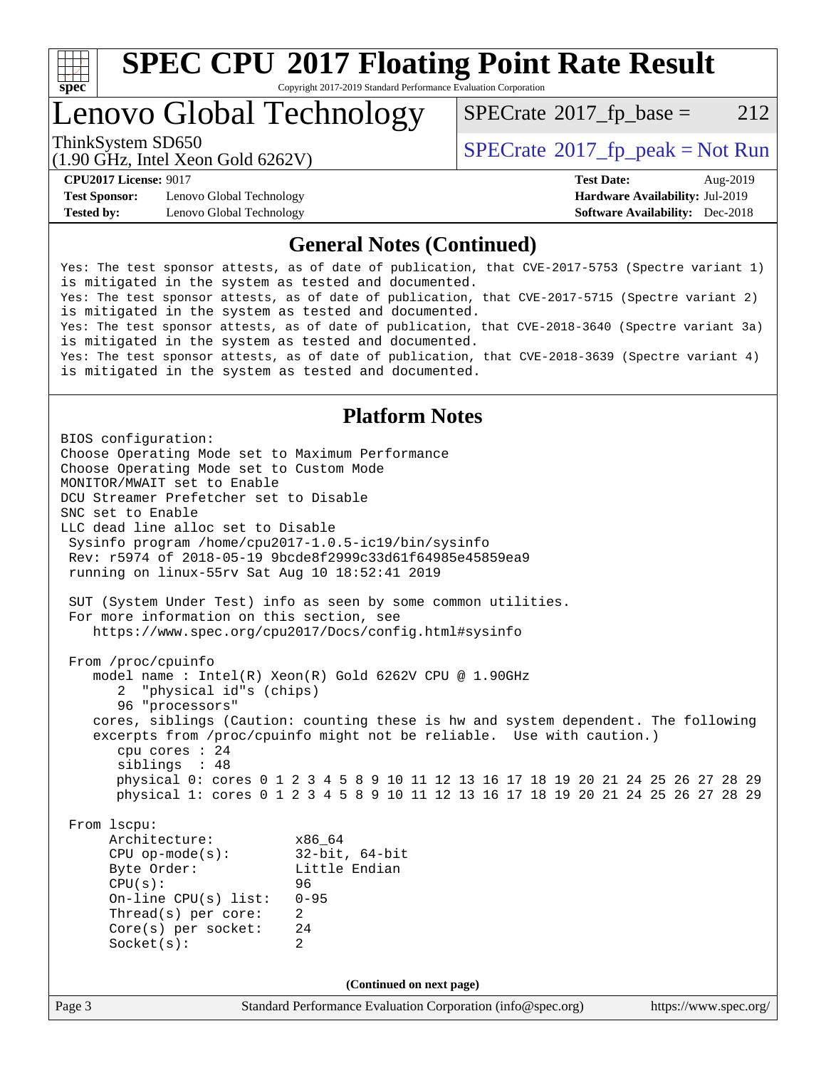

# **[SPEC CPU](http://www.spec.org/auto/cpu2017/Docs/result-fields.html#SPECCPU2017FloatingPointRateResult)[2017 Floating Point Rate Result](http://www.spec.org/auto/cpu2017/Docs/result-fields.html#SPECCPU2017FloatingPointRateResult)**

Copyright 2017-2019 Standard Performance Evaluation Corporation

## Lenovo Global Technology

 $SPECTate@2017_fp\_base = 212$ 

(1.90 GHz, Intel Xeon Gold 6262V)

ThinkSystem SD650  $SPECrate@2017_fp\_peak = Not Run$  $SPECrate@2017_fp\_peak = Not Run$ 

**[Test Sponsor:](http://www.spec.org/auto/cpu2017/Docs/result-fields.html#TestSponsor)** Lenovo Global Technology **[Hardware Availability:](http://www.spec.org/auto/cpu2017/Docs/result-fields.html#HardwareAvailability)** Jul-2019 **[Tested by:](http://www.spec.org/auto/cpu2017/Docs/result-fields.html#Testedby)** Lenovo Global Technology **[Software Availability:](http://www.spec.org/auto/cpu2017/Docs/result-fields.html#SoftwareAvailability)** Dec-2018

**[CPU2017 License:](http://www.spec.org/auto/cpu2017/Docs/result-fields.html#CPU2017License)** 9017 **[Test Date:](http://www.spec.org/auto/cpu2017/Docs/result-fields.html#TestDate)** Aug-2019

#### **[General Notes \(Continued\)](http://www.spec.org/auto/cpu2017/Docs/result-fields.html#GeneralNotes)**

Yes: The test sponsor attests, as of date of publication, that CVE-2017-5753 (Spectre variant 1) is mitigated in the system as tested and documented. Yes: The test sponsor attests, as of date of publication, that CVE-2017-5715 (Spectre variant 2) is mitigated in the system as tested and documented. Yes: The test sponsor attests, as of date of publication, that CVE-2018-3640 (Spectre variant 3a) is mitigated in the system as tested and documented. Yes: The test sponsor attests, as of date of publication, that CVE-2018-3639 (Spectre variant 4) is mitigated in the system as tested and documented.

#### **[Platform Notes](http://www.spec.org/auto/cpu2017/Docs/result-fields.html#PlatformNotes)**

Page 3 Standard Performance Evaluation Corporation [\(info@spec.org\)](mailto:info@spec.org) <https://www.spec.org/> BIOS configuration: Choose Operating Mode set to Maximum Performance Choose Operating Mode set to Custom Mode MONITOR/MWAIT set to Enable DCU Streamer Prefetcher set to Disable SNC set to Enable LLC dead line alloc set to Disable Sysinfo program /home/cpu2017-1.0.5-ic19/bin/sysinfo Rev: r5974 of 2018-05-19 9bcde8f2999c33d61f64985e45859ea9 running on linux-55rv Sat Aug 10 18:52:41 2019 SUT (System Under Test) info as seen by some common utilities. For more information on this section, see <https://www.spec.org/cpu2017/Docs/config.html#sysinfo> From /proc/cpuinfo model name : Intel(R) Xeon(R) Gold 6262V CPU @ 1.90GHz 2 "physical id"s (chips) 96 "processors" cores, siblings (Caution: counting these is hw and system dependent. The following excerpts from /proc/cpuinfo might not be reliable. Use with caution.) cpu cores : 24 siblings : 48 physical 0: cores 0 1 2 3 4 5 8 9 10 11 12 13 16 17 18 19 20 21 24 25 26 27 28 29 physical 1: cores 0 1 2 3 4 5 8 9 10 11 12 13 16 17 18 19 20 21 24 25 26 27 28 29 From lscpu: Architecture: x86\_64 CPU op-mode(s): 32-bit, 64-bit Little Endian CPU(s): 96 On-line CPU(s) list: 0-95 Thread(s) per core: 2 Core(s) per socket: 24 Socket(s): 2 **(Continued on next page)**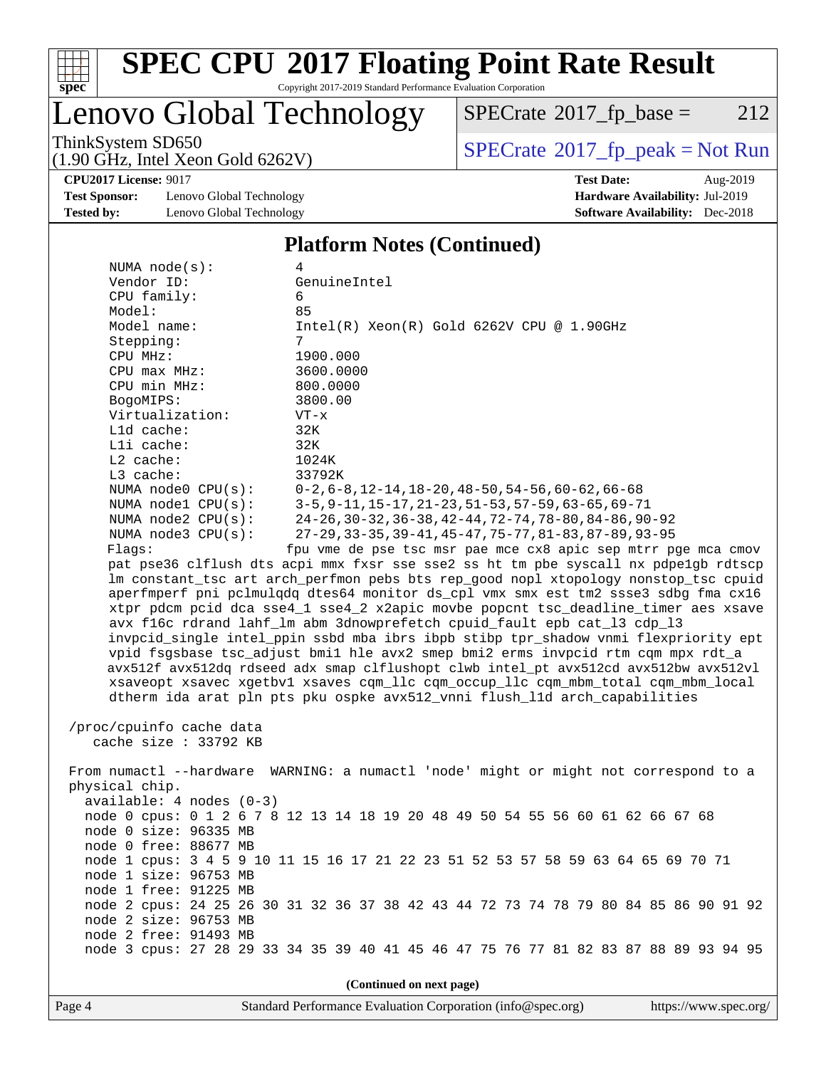

# **[SPEC CPU](http://www.spec.org/auto/cpu2017/Docs/result-fields.html#SPECCPU2017FloatingPointRateResult)[2017 Floating Point Rate Result](http://www.spec.org/auto/cpu2017/Docs/result-fields.html#SPECCPU2017FloatingPointRateResult)**

Copyright 2017-2019 Standard Performance Evaluation Corporation

### Lenovo Global Technology

 $SPECTate@2017_fp\_base = 212$ 

(1.90 GHz, Intel Xeon Gold 6262V)

ThinkSystem SD650<br>(1.90 GHz, Intel Xeon Gold 6262V) [SPECrate](http://www.spec.org/auto/cpu2017/Docs/result-fields.html#SPECrate2017fppeak)®[2017\\_fp\\_peak = N](http://www.spec.org/auto/cpu2017/Docs/result-fields.html#SPECrate2017fppeak)ot Run

**[CPU2017 License:](http://www.spec.org/auto/cpu2017/Docs/result-fields.html#CPU2017License)** 9017 **[Test Date:](http://www.spec.org/auto/cpu2017/Docs/result-fields.html#TestDate)** Aug-2019

**[Test Sponsor:](http://www.spec.org/auto/cpu2017/Docs/result-fields.html#TestSponsor)** Lenovo Global Technology **[Hardware Availability:](http://www.spec.org/auto/cpu2017/Docs/result-fields.html#HardwareAvailability)** Jul-2019 **[Tested by:](http://www.spec.org/auto/cpu2017/Docs/result-fields.html#Testedby)** Lenovo Global Technology **[Software Availability:](http://www.spec.org/auto/cpu2017/Docs/result-fields.html#SoftwareAvailability)** Dec-2018

#### **[Platform Notes \(Continued\)](http://www.spec.org/auto/cpu2017/Docs/result-fields.html#PlatformNotes)**

| NUMA $node(s):$                                                                 | 4                                                                                    |  |  |  |  |  |  |
|---------------------------------------------------------------------------------|--------------------------------------------------------------------------------------|--|--|--|--|--|--|
| Vendor ID:                                                                      | GenuineIntel                                                                         |  |  |  |  |  |  |
| CPU family:                                                                     | 6                                                                                    |  |  |  |  |  |  |
| Model:                                                                          | 85                                                                                   |  |  |  |  |  |  |
| Model name:                                                                     | $Intel(R) Xeon(R) Gold 6262V CPU @ 1.90GHz$                                          |  |  |  |  |  |  |
| Stepping:                                                                       | $7^{\circ}$                                                                          |  |  |  |  |  |  |
| CPU MHz:                                                                        | 1900.000                                                                             |  |  |  |  |  |  |
| $CPU$ max $MHz$ :                                                               | 3600.0000                                                                            |  |  |  |  |  |  |
| CPU min MHz:                                                                    | 800.0000                                                                             |  |  |  |  |  |  |
| BogoMIPS:                                                                       | 3800.00                                                                              |  |  |  |  |  |  |
| Virtualization:                                                                 | $VT - x$                                                                             |  |  |  |  |  |  |
| Lld cache:                                                                      | 32K                                                                                  |  |  |  |  |  |  |
| Lli cache:                                                                      | 32K                                                                                  |  |  |  |  |  |  |
| $L2$ cache:                                                                     | 1024K                                                                                |  |  |  |  |  |  |
| L3 cache:                                                                       | 33792K                                                                               |  |  |  |  |  |  |
| NUMA node0 CPU(s):                                                              | $0-2, 6-8, 12-14, 18-20, 48-50, 54-56, 60-62, 66-68$                                 |  |  |  |  |  |  |
| NUMA $node1$ $CPU(s):$                                                          | 3-5, 9-11, 15-17, 21-23, 51-53, 57-59, 63-65, 69-71                                  |  |  |  |  |  |  |
| NUMA $node2$ $CPU(s)$ :                                                         | $24-26$ , $30-32$ , $36-38$ , $42-44$ , $72-74$ , $78-80$ , $84-86$ , $90-92$        |  |  |  |  |  |  |
| NUMA node3 CPU(s):                                                              | 27-29, 33-35, 39-41, 45-47, 75-77, 81-83, 87-89, 93-95                               |  |  |  |  |  |  |
| Flags:                                                                          | fpu vme de pse tsc msr pae mce cx8 apic sep mtrr pqe mca cmov                        |  |  |  |  |  |  |
|                                                                                 | pat pse36 clflush dts acpi mmx fxsr sse sse2 ss ht tm pbe syscall nx pdpelgb rdtscp  |  |  |  |  |  |  |
|                                                                                 | lm constant_tsc art arch_perfmon pebs bts rep_good nopl xtopology nonstop_tsc cpuid  |  |  |  |  |  |  |
|                                                                                 | aperfmperf pni pclmulqdq dtes64 monitor ds_cpl vmx smx est tm2 ssse3 sdbg fma cx16   |  |  |  |  |  |  |
|                                                                                 | xtpr pdcm pcid dca sse4_1 sse4_2 x2apic movbe popcnt tsc_deadline_timer aes xsave    |  |  |  |  |  |  |
|                                                                                 | avx f16c rdrand lahf_lm abm 3dnowprefetch cpuid_fault epb cat_13 cdp_13              |  |  |  |  |  |  |
|                                                                                 | invpcid_single intel_ppin ssbd mba ibrs ibpb stibp tpr_shadow vnmi flexpriority ept  |  |  |  |  |  |  |
| vpid fsgsbase tsc_adjust bmil hle avx2 smep bmi2 erms invpcid rtm cqm mpx rdt_a |                                                                                      |  |  |  |  |  |  |
|                                                                                 | avx512f avx512dq rdseed adx smap clflushopt clwb intel_pt avx512cd avx512bw avx512vl |  |  |  |  |  |  |
|                                                                                 | xsaveopt xsavec xgetbvl xsaves cqm_llc cqm_occup_llc cqm_mbm_total cqm_mbm_local     |  |  |  |  |  |  |
|                                                                                 | dtherm ida arat pln pts pku ospke avx512_vnni flush_lld arch_capabilities            |  |  |  |  |  |  |
|                                                                                 |                                                                                      |  |  |  |  |  |  |
| /proc/cpuinfo cache data                                                        |                                                                                      |  |  |  |  |  |  |
| cache size : 33792 KB                                                           |                                                                                      |  |  |  |  |  |  |
|                                                                                 |                                                                                      |  |  |  |  |  |  |
|                                                                                 | From numactl --hardware WARNING: a numactl 'node' might or might not correspond to a |  |  |  |  |  |  |
| physical chip.                                                                  |                                                                                      |  |  |  |  |  |  |
| $available: 4 nodes (0-3)$                                                      |                                                                                      |  |  |  |  |  |  |
|                                                                                 | node 0 cpus: 0 1 2 6 7 8 12 13 14 18 19 20 48 49 50 54 55 56 60 61 62 66 67 68       |  |  |  |  |  |  |
| node 0 size: 96335 MB                                                           |                                                                                      |  |  |  |  |  |  |
| node 0 free: 88677 MB                                                           |                                                                                      |  |  |  |  |  |  |
|                                                                                 | node 1 cpus: 3 4 5 9 10 11 15 16 17 21 22 23 51 52 53 57 58 59 63 64 65 69 70 71     |  |  |  |  |  |  |
| node 1 size: 96753 MB                                                           |                                                                                      |  |  |  |  |  |  |
| node 1 free: 91225 MB                                                           |                                                                                      |  |  |  |  |  |  |
|                                                                                 | node 2 cpus: 24 25 26 30 31 32 36 37 38 42 43 44 72 73 74 78 79 80 84 85 86 90 91 92 |  |  |  |  |  |  |
| node 2 size: 96753 MB                                                           |                                                                                      |  |  |  |  |  |  |
| node 2 free: 91493 MB                                                           |                                                                                      |  |  |  |  |  |  |
|                                                                                 | node 3 cpus: 27 28 29 33 34 35 39 40 41 45 46 47 75 76 77 81 82 83 87 88 89 93 94 95 |  |  |  |  |  |  |
|                                                                                 |                                                                                      |  |  |  |  |  |  |
|                                                                                 | (Continued on next page)                                                             |  |  |  |  |  |  |
|                                                                                 |                                                                                      |  |  |  |  |  |  |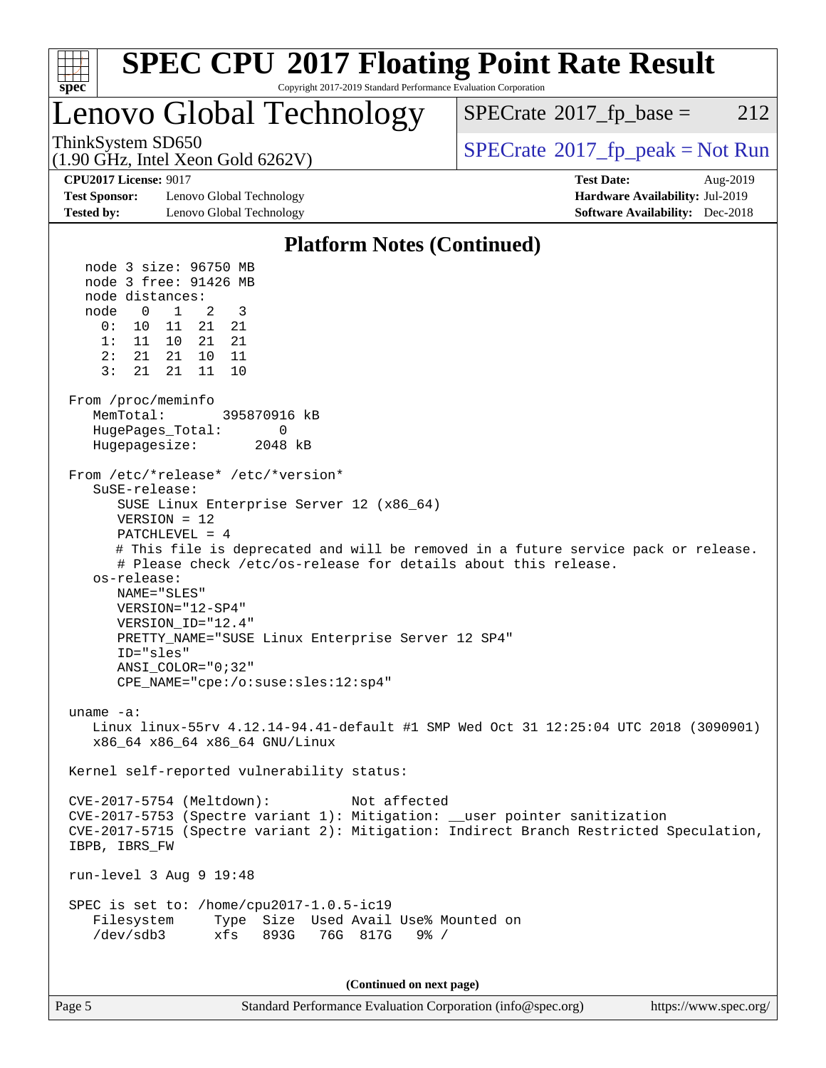

Page 5 Standard Performance Evaluation Corporation [\(info@spec.org\)](mailto:info@spec.org) <https://www.spec.org/>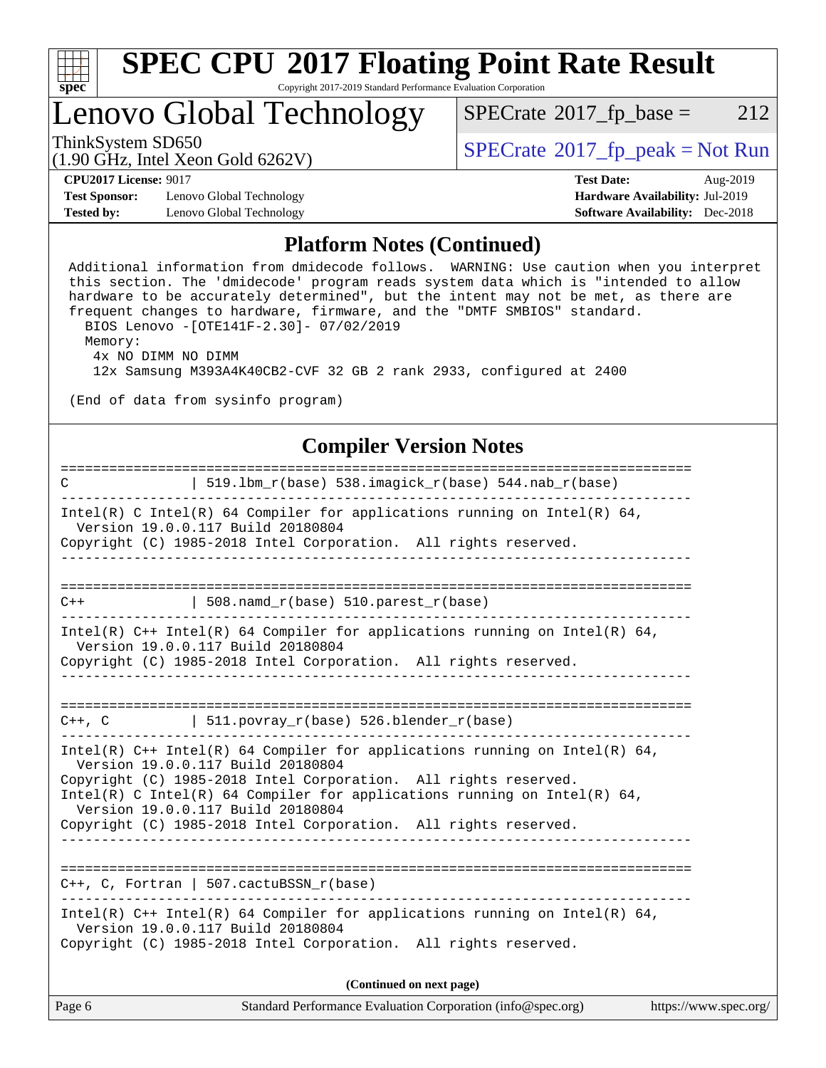

## Lenovo Global Technology

 $SPECTate@2017_fp\_base = 212$ 

(1.90 GHz, Intel Xeon Gold 6262V)

ThinkSystem SD650<br>(1.00 GHz, Intel Year Gold 6262V) [SPECrate](http://www.spec.org/auto/cpu2017/Docs/result-fields.html#SPECrate2017fppeak)®[2017\\_fp\\_peak = N](http://www.spec.org/auto/cpu2017/Docs/result-fields.html#SPECrate2017fppeak)ot Run

**[Test Sponsor:](http://www.spec.org/auto/cpu2017/Docs/result-fields.html#TestSponsor)** Lenovo Global Technology **[Hardware Availability:](http://www.spec.org/auto/cpu2017/Docs/result-fields.html#HardwareAvailability)** Jul-2019 **[Tested by:](http://www.spec.org/auto/cpu2017/Docs/result-fields.html#Testedby)** Lenovo Global Technology **[Software Availability:](http://www.spec.org/auto/cpu2017/Docs/result-fields.html#SoftwareAvailability)** Dec-2018

**[CPU2017 License:](http://www.spec.org/auto/cpu2017/Docs/result-fields.html#CPU2017License)** 9017 **[Test Date:](http://www.spec.org/auto/cpu2017/Docs/result-fields.html#TestDate)** Aug-2019

#### **[Platform Notes \(Continued\)](http://www.spec.org/auto/cpu2017/Docs/result-fields.html#PlatformNotes)**

 Additional information from dmidecode follows. WARNING: Use caution when you interpret this section. The 'dmidecode' program reads system data which is "intended to allow hardware to be accurately determined", but the intent may not be met, as there are frequent changes to hardware, firmware, and the "DMTF SMBIOS" standard. BIOS Lenovo -[OTE141F-2.30]- 07/02/2019 Memory: 4x NO DIMM NO DIMM 12x Samsung M393A4K40CB2-CVF 32 GB 2 rank 2933, configured at 2400

(End of data from sysinfo program)

#### **[Compiler Version Notes](http://www.spec.org/auto/cpu2017/Docs/result-fields.html#CompilerVersionNotes)**

| $\mathbf C$                                                                                          |                                             | $519.1$ bm_r(base) $538.imagick_r(base)$ $544.nab_r(base)$                   |                       |
|------------------------------------------------------------------------------------------------------|---------------------------------------------|------------------------------------------------------------------------------|-----------------------|
| Version 19.0.0.117 Build 20180804<br>Copyright (C) 1985-2018 Intel Corporation. All rights reserved. |                                             | Intel(R) C Intel(R) 64 Compiler for applications running on Intel(R) 64,     |                       |
|                                                                                                      |                                             |                                                                              |                       |
| $C++$                                                                                                | $\vert$ 508.namd_r(base) 510.parest_r(base) |                                                                              |                       |
| Version 19.0.0.117 Build 20180804                                                                    |                                             | Intel(R) $C++$ Intel(R) 64 Compiler for applications running on Intel(R) 64, |                       |
| Copyright (C) 1985-2018 Intel Corporation. All rights reserved.                                      |                                             |                                                                              |                       |
|                                                                                                      |                                             |                                                                              |                       |
| $C++$ , $C$ 511.povray_r(base) 526.blender_r(base)                                                   |                                             |                                                                              |                       |
| Version 19.0.0.117 Build 20180804<br>Copyright (C) 1985-2018 Intel Corporation. All rights reserved. |                                             | Intel(R) $C++$ Intel(R) 64 Compiler for applications running on Intel(R) 64, |                       |
| Version 19.0.0.117 Build 20180804                                                                    |                                             | Intel(R) C Intel(R) 64 Compiler for applications running on Intel(R) 64,     |                       |
| Copyright (C) 1985-2018 Intel Corporation. All rights reserved.                                      |                                             |                                                                              |                       |
| $C++$ , C, Fortran   507.cactuBSSN_r(base)                                                           |                                             |                                                                              |                       |
| Version 19.0.0.117 Build 20180804<br>Copyright (C) 1985-2018 Intel Corporation. All rights reserved. |                                             | Intel(R) $C++$ Intel(R) 64 Compiler for applications running on Intel(R) 64, |                       |
|                                                                                                      |                                             | (Continued on next page)                                                     |                       |
| Page 6                                                                                               |                                             | Standard Performance Evaluation Corporation (info@spec.org)                  | https://www.spec.org/ |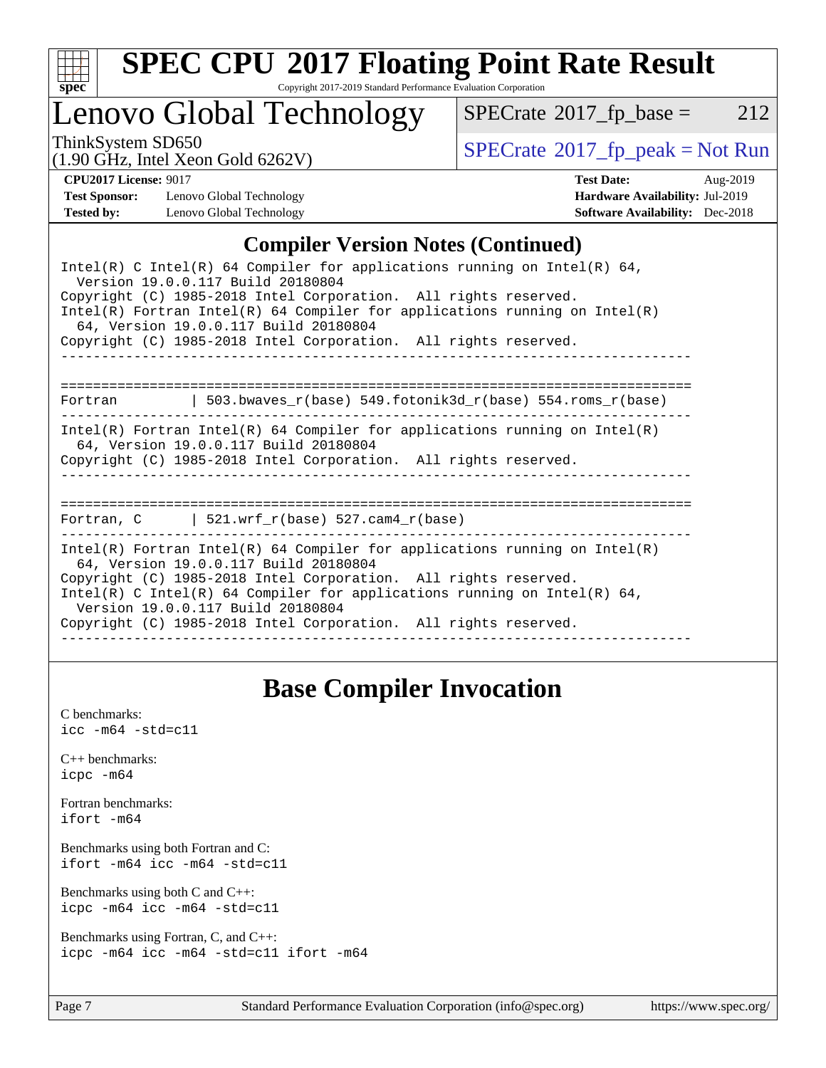

# **[SPEC CPU](http://www.spec.org/auto/cpu2017/Docs/result-fields.html#SPECCPU2017FloatingPointRateResult)[2017 Floating Point Rate Result](http://www.spec.org/auto/cpu2017/Docs/result-fields.html#SPECCPU2017FloatingPointRateResult)**

Copyright 2017-2019 Standard Performance Evaluation Corporation

### Lenovo Global Technology

 $SPECTate@2017_fp\_base = 212$ 

(1.90 GHz, Intel Xeon Gold 6262V)

ThinkSystem SD650<br>(1.00 GHz, Intel Year Gold 6262V) [SPECrate](http://www.spec.org/auto/cpu2017/Docs/result-fields.html#SPECrate2017fppeak)®[2017\\_fp\\_peak = N](http://www.spec.org/auto/cpu2017/Docs/result-fields.html#SPECrate2017fppeak)ot Run

**[Test Sponsor:](http://www.spec.org/auto/cpu2017/Docs/result-fields.html#TestSponsor)** Lenovo Global Technology **[Hardware Availability:](http://www.spec.org/auto/cpu2017/Docs/result-fields.html#HardwareAvailability)** Jul-2019 **[Tested by:](http://www.spec.org/auto/cpu2017/Docs/result-fields.html#Testedby)** Lenovo Global Technology **[Software Availability:](http://www.spec.org/auto/cpu2017/Docs/result-fields.html#SoftwareAvailability)** Dec-2018

**[CPU2017 License:](http://www.spec.org/auto/cpu2017/Docs/result-fields.html#CPU2017License)** 9017 **[Test Date:](http://www.spec.org/auto/cpu2017/Docs/result-fields.html#TestDate)** Aug-2019

#### **[Compiler Version Notes \(Continued\)](http://www.spec.org/auto/cpu2017/Docs/result-fields.html#CompilerVersionNotes)**

| Intel(R) C Intel(R) 64 Compiler for applications running on Intel(R) 64,<br>Version 19.0.0.117 Build 20180804<br>Copyright (C) 1985-2018 Intel Corporation. All rights reserved.<br>Intel(R) Fortran Intel(R) 64 Compiler for applications running on Intel(R)<br>64, Version 19.0.0.117 Build 20180804<br>Copyright (C) 1985-2018 Intel Corporation. All rights reserved. |  |
|----------------------------------------------------------------------------------------------------------------------------------------------------------------------------------------------------------------------------------------------------------------------------------------------------------------------------------------------------------------------------|--|
| Fortran $\vert$ 503.bwaves r(base) 549.fotonik3d r(base) 554.roms r(base)                                                                                                                                                                                                                                                                                                  |  |
| Intel(R) Fortran Intel(R) 64 Compiler for applications running on Intel(R)<br>64, Version 19.0.0.117 Build 20180804<br>Copyright (C) 1985-2018 Intel Corporation. All rights reserved.<br>---------------------------------                                                                                                                                                |  |
| Fortran, C $\vert$ 521.wrf r(base) 527.cam4 r(base)                                                                                                                                                                                                                                                                                                                        |  |
| Intel(R) Fortran Intel(R) 64 Compiler for applications running on Intel(R)<br>64, Version 19.0.0.117 Build 20180804<br>Copyright (C) 1985-2018 Intel Corporation. All rights reserved.<br>Intel(R) C Intel(R) 64 Compiler for applications running on Intel(R) 64,<br>Version 19.0.0.117 Build 20180804<br>Copyright (C) 1985-2018 Intel Corporation. All rights reserved. |  |

### **[Base Compiler Invocation](http://www.spec.org/auto/cpu2017/Docs/result-fields.html#BaseCompilerInvocation)**

[C benchmarks](http://www.spec.org/auto/cpu2017/Docs/result-fields.html#Cbenchmarks):  $\text{icc}$  -m64 -std=c11 [C++ benchmarks:](http://www.spec.org/auto/cpu2017/Docs/result-fields.html#CXXbenchmarks) [icpc -m64](http://www.spec.org/cpu2017/results/res2019q3/cpu2017-20190819-16969.flags.html#user_CXXbase_intel_icpc_64bit_4ecb2543ae3f1412ef961e0650ca070fec7b7afdcd6ed48761b84423119d1bf6bdf5cad15b44d48e7256388bc77273b966e5eb805aefd121eb22e9299b2ec9d9) [Fortran benchmarks](http://www.spec.org/auto/cpu2017/Docs/result-fields.html#Fortranbenchmarks): [ifort -m64](http://www.spec.org/cpu2017/results/res2019q3/cpu2017-20190819-16969.flags.html#user_FCbase_intel_ifort_64bit_24f2bb282fbaeffd6157abe4f878425411749daecae9a33200eee2bee2fe76f3b89351d69a8130dd5949958ce389cf37ff59a95e7a40d588e8d3a57e0c3fd751) [Benchmarks using both Fortran and C](http://www.spec.org/auto/cpu2017/Docs/result-fields.html#BenchmarksusingbothFortranandC): [ifort -m64](http://www.spec.org/cpu2017/results/res2019q3/cpu2017-20190819-16969.flags.html#user_CC_FCbase_intel_ifort_64bit_24f2bb282fbaeffd6157abe4f878425411749daecae9a33200eee2bee2fe76f3b89351d69a8130dd5949958ce389cf37ff59a95e7a40d588e8d3a57e0c3fd751) [icc -m64 -std=c11](http://www.spec.org/cpu2017/results/res2019q3/cpu2017-20190819-16969.flags.html#user_CC_FCbase_intel_icc_64bit_c11_33ee0cdaae7deeeab2a9725423ba97205ce30f63b9926c2519791662299b76a0318f32ddfffdc46587804de3178b4f9328c46fa7c2b0cd779d7a61945c91cd35) [Benchmarks using both C and C++](http://www.spec.org/auto/cpu2017/Docs/result-fields.html#BenchmarksusingbothCandCXX): [icpc -m64](http://www.spec.org/cpu2017/results/res2019q3/cpu2017-20190819-16969.flags.html#user_CC_CXXbase_intel_icpc_64bit_4ecb2543ae3f1412ef961e0650ca070fec7b7afdcd6ed48761b84423119d1bf6bdf5cad15b44d48e7256388bc77273b966e5eb805aefd121eb22e9299b2ec9d9) [icc -m64 -std=c11](http://www.spec.org/cpu2017/results/res2019q3/cpu2017-20190819-16969.flags.html#user_CC_CXXbase_intel_icc_64bit_c11_33ee0cdaae7deeeab2a9725423ba97205ce30f63b9926c2519791662299b76a0318f32ddfffdc46587804de3178b4f9328c46fa7c2b0cd779d7a61945c91cd35) [Benchmarks using Fortran, C, and C++:](http://www.spec.org/auto/cpu2017/Docs/result-fields.html#BenchmarksusingFortranCandCXX) [icpc -m64](http://www.spec.org/cpu2017/results/res2019q3/cpu2017-20190819-16969.flags.html#user_CC_CXX_FCbase_intel_icpc_64bit_4ecb2543ae3f1412ef961e0650ca070fec7b7afdcd6ed48761b84423119d1bf6bdf5cad15b44d48e7256388bc77273b966e5eb805aefd121eb22e9299b2ec9d9) [icc -m64 -std=c11](http://www.spec.org/cpu2017/results/res2019q3/cpu2017-20190819-16969.flags.html#user_CC_CXX_FCbase_intel_icc_64bit_c11_33ee0cdaae7deeeab2a9725423ba97205ce30f63b9926c2519791662299b76a0318f32ddfffdc46587804de3178b4f9328c46fa7c2b0cd779d7a61945c91cd35) [ifort -m64](http://www.spec.org/cpu2017/results/res2019q3/cpu2017-20190819-16969.flags.html#user_CC_CXX_FCbase_intel_ifort_64bit_24f2bb282fbaeffd6157abe4f878425411749daecae9a33200eee2bee2fe76f3b89351d69a8130dd5949958ce389cf37ff59a95e7a40d588e8d3a57e0c3fd751)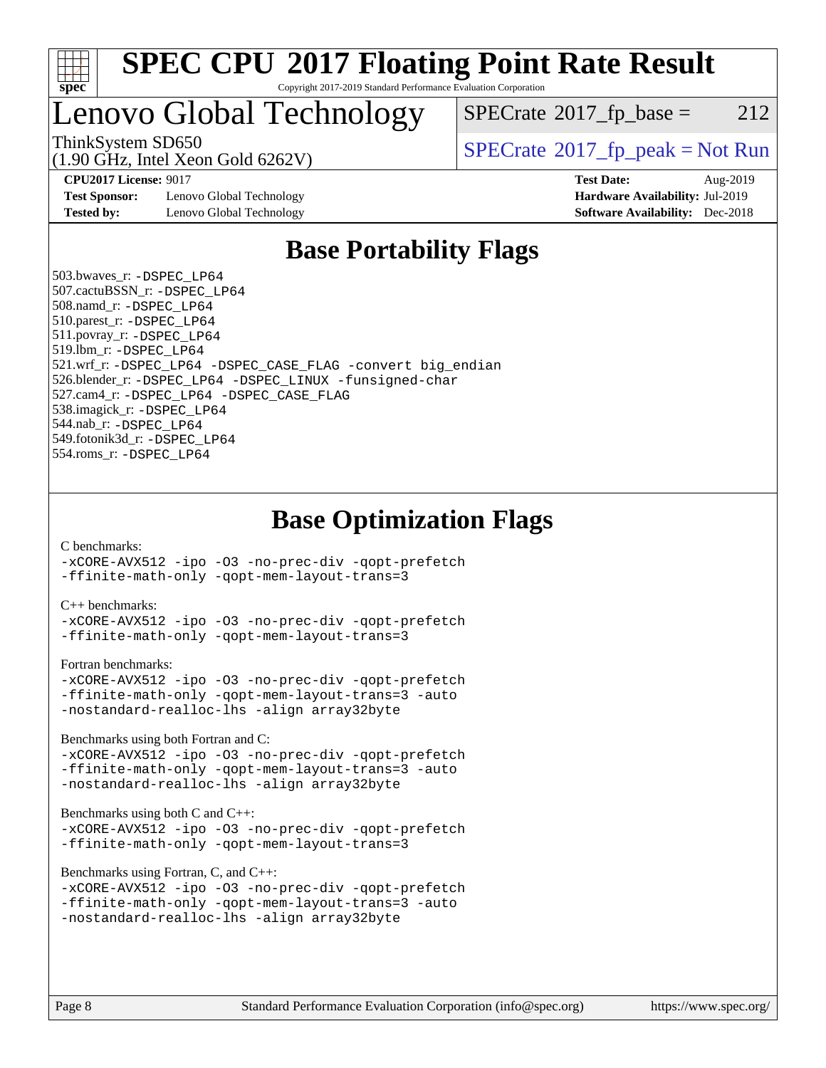

### Lenovo Global Technology

 $SPECTate@2017<sub>fp</sub> base = 212$ 

(1.90 GHz, Intel Xeon Gold 6262V)

ThinkSystem SD650  $SPECrate^{\circ}2017$  $SPECrate^{\circ}2017$  fp\_peak = Not Run

**[Test Sponsor:](http://www.spec.org/auto/cpu2017/Docs/result-fields.html#TestSponsor)** Lenovo Global Technology **[Hardware Availability:](http://www.spec.org/auto/cpu2017/Docs/result-fields.html#HardwareAvailability)** Jul-2019 **[Tested by:](http://www.spec.org/auto/cpu2017/Docs/result-fields.html#Testedby)** Lenovo Global Technology **[Software Availability:](http://www.spec.org/auto/cpu2017/Docs/result-fields.html#SoftwareAvailability)** Dec-2018

**[CPU2017 License:](http://www.spec.org/auto/cpu2017/Docs/result-fields.html#CPU2017License)** 9017 **[Test Date:](http://www.spec.org/auto/cpu2017/Docs/result-fields.html#TestDate)** Aug-2019

### **[Base Portability Flags](http://www.spec.org/auto/cpu2017/Docs/result-fields.html#BasePortabilityFlags)**

 503.bwaves\_r: [-DSPEC\\_LP64](http://www.spec.org/cpu2017/results/res2019q3/cpu2017-20190819-16969.flags.html#suite_basePORTABILITY503_bwaves_r_DSPEC_LP64) 507.cactuBSSN\_r: [-DSPEC\\_LP64](http://www.spec.org/cpu2017/results/res2019q3/cpu2017-20190819-16969.flags.html#suite_basePORTABILITY507_cactuBSSN_r_DSPEC_LP64) 508.namd\_r: [-DSPEC\\_LP64](http://www.spec.org/cpu2017/results/res2019q3/cpu2017-20190819-16969.flags.html#suite_basePORTABILITY508_namd_r_DSPEC_LP64) 510.parest\_r: [-DSPEC\\_LP64](http://www.spec.org/cpu2017/results/res2019q3/cpu2017-20190819-16969.flags.html#suite_basePORTABILITY510_parest_r_DSPEC_LP64) 511.povray\_r: [-DSPEC\\_LP64](http://www.spec.org/cpu2017/results/res2019q3/cpu2017-20190819-16969.flags.html#suite_basePORTABILITY511_povray_r_DSPEC_LP64) 519.lbm\_r: [-DSPEC\\_LP64](http://www.spec.org/cpu2017/results/res2019q3/cpu2017-20190819-16969.flags.html#suite_basePORTABILITY519_lbm_r_DSPEC_LP64) 521.wrf\_r: [-DSPEC\\_LP64](http://www.spec.org/cpu2017/results/res2019q3/cpu2017-20190819-16969.flags.html#suite_basePORTABILITY521_wrf_r_DSPEC_LP64) [-DSPEC\\_CASE\\_FLAG](http://www.spec.org/cpu2017/results/res2019q3/cpu2017-20190819-16969.flags.html#b521.wrf_r_baseCPORTABILITY_DSPEC_CASE_FLAG) [-convert big\\_endian](http://www.spec.org/cpu2017/results/res2019q3/cpu2017-20190819-16969.flags.html#user_baseFPORTABILITY521_wrf_r_convert_big_endian_c3194028bc08c63ac5d04de18c48ce6d347e4e562e8892b8bdbdc0214820426deb8554edfa529a3fb25a586e65a3d812c835984020483e7e73212c4d31a38223) 526.blender\_r: [-DSPEC\\_LP64](http://www.spec.org/cpu2017/results/res2019q3/cpu2017-20190819-16969.flags.html#suite_basePORTABILITY526_blender_r_DSPEC_LP64) [-DSPEC\\_LINUX](http://www.spec.org/cpu2017/results/res2019q3/cpu2017-20190819-16969.flags.html#b526.blender_r_baseCPORTABILITY_DSPEC_LINUX) [-funsigned-char](http://www.spec.org/cpu2017/results/res2019q3/cpu2017-20190819-16969.flags.html#user_baseCPORTABILITY526_blender_r_force_uchar_40c60f00ab013830e2dd6774aeded3ff59883ba5a1fc5fc14077f794d777847726e2a5858cbc7672e36e1b067e7e5c1d9a74f7176df07886a243d7cc18edfe67) 527.cam4\_r: [-DSPEC\\_LP64](http://www.spec.org/cpu2017/results/res2019q3/cpu2017-20190819-16969.flags.html#suite_basePORTABILITY527_cam4_r_DSPEC_LP64) [-DSPEC\\_CASE\\_FLAG](http://www.spec.org/cpu2017/results/res2019q3/cpu2017-20190819-16969.flags.html#b527.cam4_r_baseCPORTABILITY_DSPEC_CASE_FLAG) 538.imagick\_r: [-DSPEC\\_LP64](http://www.spec.org/cpu2017/results/res2019q3/cpu2017-20190819-16969.flags.html#suite_basePORTABILITY538_imagick_r_DSPEC_LP64) 544.nab\_r: [-DSPEC\\_LP64](http://www.spec.org/cpu2017/results/res2019q3/cpu2017-20190819-16969.flags.html#suite_basePORTABILITY544_nab_r_DSPEC_LP64) 549.fotonik3d\_r: [-DSPEC\\_LP64](http://www.spec.org/cpu2017/results/res2019q3/cpu2017-20190819-16969.flags.html#suite_basePORTABILITY549_fotonik3d_r_DSPEC_LP64) 554.roms\_r: [-DSPEC\\_LP64](http://www.spec.org/cpu2017/results/res2019q3/cpu2017-20190819-16969.flags.html#suite_basePORTABILITY554_roms_r_DSPEC_LP64)

**[Base Optimization Flags](http://www.spec.org/auto/cpu2017/Docs/result-fields.html#BaseOptimizationFlags)**

[C benchmarks](http://www.spec.org/auto/cpu2017/Docs/result-fields.html#Cbenchmarks):

[-xCORE-AVX512](http://www.spec.org/cpu2017/results/res2019q3/cpu2017-20190819-16969.flags.html#user_CCbase_f-xCORE-AVX512) [-ipo](http://www.spec.org/cpu2017/results/res2019q3/cpu2017-20190819-16969.flags.html#user_CCbase_f-ipo) [-O3](http://www.spec.org/cpu2017/results/res2019q3/cpu2017-20190819-16969.flags.html#user_CCbase_f-O3) [-no-prec-div](http://www.spec.org/cpu2017/results/res2019q3/cpu2017-20190819-16969.flags.html#user_CCbase_f-no-prec-div) [-qopt-prefetch](http://www.spec.org/cpu2017/results/res2019q3/cpu2017-20190819-16969.flags.html#user_CCbase_f-qopt-prefetch) [-ffinite-math-only](http://www.spec.org/cpu2017/results/res2019q3/cpu2017-20190819-16969.flags.html#user_CCbase_f_finite_math_only_cb91587bd2077682c4b38af759c288ed7c732db004271a9512da14a4f8007909a5f1427ecbf1a0fb78ff2a814402c6114ac565ca162485bbcae155b5e4258871) [-qopt-mem-layout-trans=3](http://www.spec.org/cpu2017/results/res2019q3/cpu2017-20190819-16969.flags.html#user_CCbase_f-qopt-mem-layout-trans_de80db37974c74b1f0e20d883f0b675c88c3b01e9d123adea9b28688d64333345fb62bc4a798493513fdb68f60282f9a726aa07f478b2f7113531aecce732043)

[C++ benchmarks:](http://www.spec.org/auto/cpu2017/Docs/result-fields.html#CXXbenchmarks)

[-xCORE-AVX512](http://www.spec.org/cpu2017/results/res2019q3/cpu2017-20190819-16969.flags.html#user_CXXbase_f-xCORE-AVX512) [-ipo](http://www.spec.org/cpu2017/results/res2019q3/cpu2017-20190819-16969.flags.html#user_CXXbase_f-ipo) [-O3](http://www.spec.org/cpu2017/results/res2019q3/cpu2017-20190819-16969.flags.html#user_CXXbase_f-O3) [-no-prec-div](http://www.spec.org/cpu2017/results/res2019q3/cpu2017-20190819-16969.flags.html#user_CXXbase_f-no-prec-div) [-qopt-prefetch](http://www.spec.org/cpu2017/results/res2019q3/cpu2017-20190819-16969.flags.html#user_CXXbase_f-qopt-prefetch) [-ffinite-math-only](http://www.spec.org/cpu2017/results/res2019q3/cpu2017-20190819-16969.flags.html#user_CXXbase_f_finite_math_only_cb91587bd2077682c4b38af759c288ed7c732db004271a9512da14a4f8007909a5f1427ecbf1a0fb78ff2a814402c6114ac565ca162485bbcae155b5e4258871) [-qopt-mem-layout-trans=3](http://www.spec.org/cpu2017/results/res2019q3/cpu2017-20190819-16969.flags.html#user_CXXbase_f-qopt-mem-layout-trans_de80db37974c74b1f0e20d883f0b675c88c3b01e9d123adea9b28688d64333345fb62bc4a798493513fdb68f60282f9a726aa07f478b2f7113531aecce732043)

[Fortran benchmarks](http://www.spec.org/auto/cpu2017/Docs/result-fields.html#Fortranbenchmarks):

```
-xCORE-AVX512 -ipo -O3 -no-prec-div -qopt-prefetch
-ffinite-math-only -qopt-mem-layout-trans=3 -auto
-nostandard-realloc-lhs -align array32byte
```
[Benchmarks using both Fortran and C](http://www.spec.org/auto/cpu2017/Docs/result-fields.html#BenchmarksusingbothFortranandC):

```
-xCORE-AVX512 -ipo -O3 -no-prec-div -qopt-prefetch
-ffinite-math-only -qopt-mem-layout-trans=3 -auto
-nostandard-realloc-lhs -align array32byte
```
[Benchmarks using both C and C++](http://www.spec.org/auto/cpu2017/Docs/result-fields.html#BenchmarksusingbothCandCXX):

```
-xCORE-AVX512 -ipo -O3 -no-prec-div -qopt-prefetch
-ffinite-math-only -qopt-mem-layout-trans=3
```
[Benchmarks using Fortran, C, and C++:](http://www.spec.org/auto/cpu2017/Docs/result-fields.html#BenchmarksusingFortranCandCXX)

```
-xCORE-AVX512 -ipo -O3 -no-prec-div -qopt-prefetch
-ffinite-math-only -qopt-mem-layout-trans=3 -auto
-nostandard-realloc-lhs -align array32byte
```